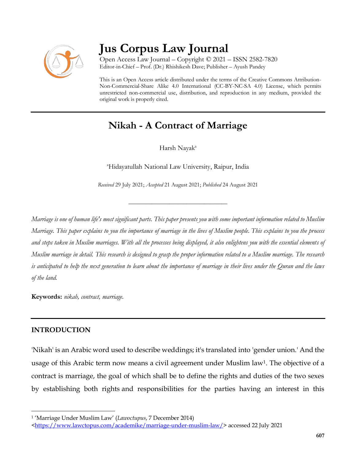

# **Jus Corpus Law Journal**

Open Access Law Journal – Copyright © 2021 – ISSN 2582-7820 Editor-in-Chief – Prof. (Dr.) Rhishikesh Dave; Publisher – Ayush Pandey

This is an Open Access article distributed under the terms of the Creative Commons Attribution-Non-Commercial-Share Alike 4.0 International (CC-BY-NC-SA 4.0) License, which permits unrestricted non-commercial use, distribution, and reproduction in any medium, provided the original work is properly cited.

# **Nikah - A Contract of Marriage**

Harsh Nayak<sup>a</sup>

<sup>a</sup>Hidayatullah National Law University, Raipur, India

*Received* 29 July 2021; *Accepted* 21 August 2021; *Published* 24 August 2021

\_\_\_\_\_\_\_\_\_\_\_\_\_\_\_\_\_\_\_\_\_\_\_\_\_\_\_\_\_\_\_\_\_\_

*Marriage is one of human life's most significant parts. This paper presents you with some important information related to Muslim Marriage. This paper explains to you the importance of marriage in the lives of Muslim people. This explains to you the process and steps taken in Muslim marriages. With all the processes being displayed, it also enlightens you with the essential elements of Muslim marriage in detail. This research is designed to grasp the proper information related to a Muslim marriage. The research is anticipated to help the next generation to learn about the importance of marriage in their lives under the Quran and the laws of the land.*

**Keywords:** *nikah, contract, marriage.*

# **INTRODUCTION**

 $\overline{\phantom{a}}$ 

'Nikah' is an Arabic word used to describe weddings; it's translated into 'gender union.' And the usage of this Arabic term now means a civil agreement under Muslim law<sup>1</sup>. The objective of a contract is marriage, the goal of which shall be to define the rights and duties of the two sexes by establishing both rights and responsibilities for the parties having an interest in this

<sup>1</sup> 'Marriage Under Muslim Law' (*Lawoctupus*, 7 December 2014)

[<sup>&</sup>lt;https://www.lawctopus.com/academike/marriage-under-muslim-law/>](https://www.lawctopus.com/academike/marriage-under-muslim-law/) accessed 22 July 2021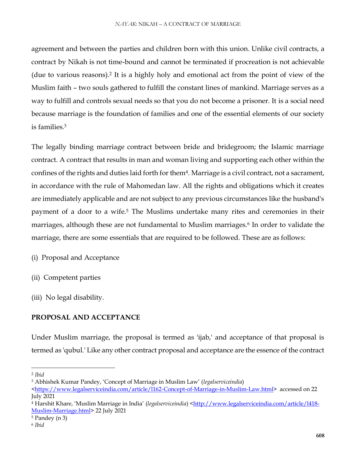agreement and between the parties and children born with this union. Unlike civil contracts, a contract by Nikah is not time-bound and cannot be terminated if procreation is not achievable (due to various reasons).<sup>2</sup> It is a highly holy and emotional act from the point of view of the Muslim faith – two souls gathered to fulfill the constant lines of mankind. Marriage serves as a way to fulfill and controls sexual needs so that you do not become a prisoner. It is a social need because marriage is the foundation of families and one of the essential elements of our society is families<sup>3</sup>

The legally binding marriage contract between bride and bridegroom; the Islamic marriage contract. A contract that results in man and woman living and supporting each other within the confines of the rights and duties laid forth for them<sup>4</sup> . Marriage is a civil contract, not a sacrament, in accordance with the rule of Mahomedan law. All the rights and obligations which it creates are immediately applicable and are not subject to any previous circumstances like the husband's payment of a door to a wife.<sup>5</sup> The Muslims undertake many rites and ceremonies in their marriages, although these are not fundamental to Muslim marriages.<sup>6</sup> In order to validate the marriage, there are some essentials that are required to be followed. These are as follows:

(i) Proposal and Acceptance

- (ii) Competent parties
- (iii) No legal disability.

# **PROPOSAL AND ACCEPTANCE**

Under Muslim marriage, the proposal is termed as 'ijab,' and acceptance of that proposal is termed as 'qubul.' Like any other contract proposal and acceptance are the essence of the contract

 $\overline{a}$ 

<sup>2</sup> *Ibid*

<sup>3</sup> Abhishek Kumar Pandey, 'Concept of Marriage in Muslim Law' (*legalserviceindia*)

[<sup>&</sup>lt;https://www.legalserviceindia.com/article/l162-Concept-of-Marriage-in-Muslim-Law.html>](https://www.legalserviceindia.com/article/l162-Concept-of-Marriage-in-Muslim-Law.html) accessed on 22 July 2021

<sup>&</sup>lt;sup>4</sup> Harshit Khare, 'Muslim Marriage in India' (*legalserviceindia*) [<http://www.legalserviceindia.com/article/l418-](http://www.legalserviceindia.com/article/l418-Muslim-Marriage.html) [Muslim-Marriage.html>](http://www.legalserviceindia.com/article/l418-Muslim-Marriage.html) 22 July 2021

<sup>5</sup> Pandey (n 3)

<sup>6</sup> *Ibid*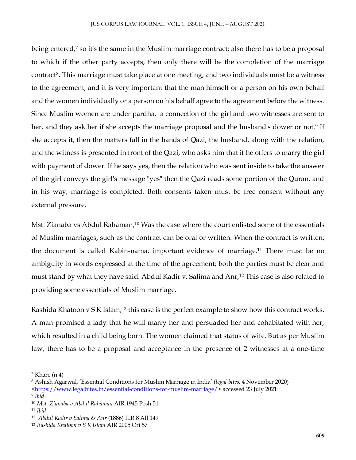being entered,<sup>7</sup> so it's the same in the Muslim marriage contract; also there has to be a proposal to which if the other party accepts, then only there will be the completion of the marriage contract<sup>8</sup>. This marriage must take place at one meeting, and two individuals must be a witness to the agreement, and it is very important that the man himself or a person on his own behalf and the women individually or a person on his behalf agree to the agreement before the witness. Since Muslim women are under pardha, a connection of the girl and two witnesses are sent to her, and they ask her if she accepts the marriage proposal and the husband's dower or not.<sup>9</sup> If she accepts it, then the matters fall in the hands of Qazi, the husband, along with the relation, and the witness is presented in front of the Qazi, who asks him that if he offers to marry the girl with payment of dower. If he says yes, then the relation who was sent inside to take the answer of the girl conveys the girl's message "yes" then the Qazi reads some portion of the Quran, and in his way, marriage is completed. Both consents taken must be free consent without any external pressure.

Mst. Zianaba vs Abdul Rahaman,<sup>10</sup> Was the case where the court enlisted some of the essentials of Muslim marriages, such as the contract can be oral or written. When the contract is written, the document is called Kabin-nama, important evidence of marriage.<sup>11</sup> There must be no ambiguity in words expressed at the time of the agreement; both the parties must be clear and must stand by what they have said. Abdul Kadir v. Salima and Anr,<sup>12</sup> This case is also related to providing some essentials of Muslim marriage.

Rashida Khatoon v S K Islam,<sup>13</sup> this case is the perfect example to show how this contract works. A man promised a lady that he will marry her and persuaded her and cohabitated with her, which resulted in a child being born. The women claimed that status of wife. But as per Muslim law, there has to be a proposal and acceptance in the presence of 2 witnesses at a one-time

 $\overline{a}$ 

 $<sup>7</sup>$  Khare (n 4)</sup>

<sup>8</sup> Ashish Agarwal, 'Essential Conditions for Muslim Marriage in India' (*legal bites*, 4 November 2020)

[<sup>&</sup>lt;https://www.legalbites.in/essential-conditions-for-muslim-marriage/>](https://www.legalbites.in/essential-conditions-for-muslim-marriage/) accessed 23 July 2021

<sup>9</sup> *Ibid*

<sup>10</sup> *Mst. Zianaba v Abdul Rahaman* AIR 1945 Pesh 51

<sup>11</sup> *Ibid*

<sup>12</sup> *Abdul Kadir v Salima & Anr* (1886) ILR 8 All 149

<sup>13</sup> *Rashida Khatoon v S K Islam* AIR 2005 Ori 57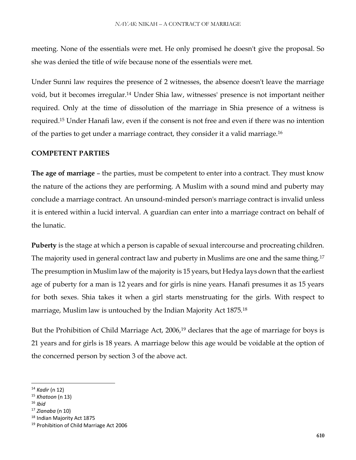meeting. None of the essentials were met. He only promised he doesn't give the proposal. So she was denied the title of wife because none of the essentials were met.

Under Sunni law requires the presence of 2 witnesses, the absence doesn't leave the marriage void, but it becomes irregular.<sup>14</sup> Under Shia law, witnesses' presence is not important neither required. Only at the time of dissolution of the marriage in Shia presence of a witness is required.<sup>15</sup> Under Hanafi law, even if the consent is not free and even if there was no intention of the parties to get under a marriage contract, they consider it a valid marriage.<sup>16</sup>

#### **COMPETENT PARTIES**

**The age of marriage** – the parties, must be competent to enter into a contract. They must know the nature of the actions they are performing. A Muslim with a sound mind and puberty may conclude a marriage contract. An unsound-minded person's marriage contract is invalid unless it is entered within a lucid interval. A guardian can enter into a marriage contract on behalf of the lunatic.

**Puberty** is the stage at which a person is capable of sexual intercourse and procreating children. The majority used in general contract law and puberty in Muslims are one and the same thing.<sup>17</sup> The presumption in Muslim law of the majority is 15 years, but Hedya lays down that the earliest age of puberty for a man is 12 years and for girls is nine years. Hanafi presumes it as 15 years for both sexes. Shia takes it when a girl starts menstruating for the girls. With respect to marriage, Muslim law is untouched by the Indian Majority Act 1875.<sup>18</sup>

But the Prohibition of Child Marriage Act, 2006,<sup>19</sup> declares that the age of marriage for boys is 21 years and for girls is 18 years. A marriage below this age would be voidable at the option of the concerned person by section 3 of the above act.

 $\overline{\phantom{a}}$ 

<sup>18</sup> Indian Majority Act 1875

<sup>14</sup> *Kadir* (n 12)

<sup>15</sup> *Khatoon* (n 13)

<sup>16</sup> *Ibid*

<sup>17</sup> *Zianaba* (n 10)

<sup>&</sup>lt;sup>19</sup> Prohibition of Child Marriage Act 2006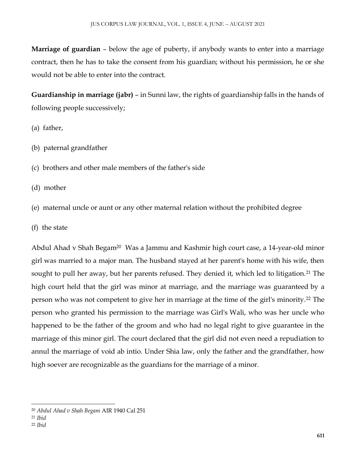**Marriage of guardian** – below the age of puberty, if anybody wants to enter into a marriage contract, then he has to take the consent from his guardian; without his permission, he or she would not be able to enter into the contract.

**Guardianship in marriage (jabr)** – in Sunni law, the rights of guardianship falls in the hands of following people successively;

- (a) father,
- (b) paternal grandfather
- (c) brothers and other male members of the father's side
- (d) mother
- (e) maternal uncle or aunt or any other maternal relation without the prohibited degree
- (f) the state

Abdul Ahad v Shah Begam<sup>20</sup> Was a Jammu and Kashmir high court case, a 14-year-old minor girl was married to a major man. The husband stayed at her parent's home with his wife, then sought to pull her away, but her parents refused. They denied it, which led to litigation.<sup>21</sup> The high court held that the girl was minor at marriage, and the marriage was guaranteed by a person who was not competent to give her in marriage at the time of the girl's minority.<sup>22</sup> The person who granted his permission to the marriage was Girl's Wali, who was her uncle who happened to be the father of the groom and who had no legal right to give guarantee in the marriage of this minor girl. The court declared that the girl did not even need a repudiation to annul the marriage of void ab intio. Under Shia law, only the father and the grandfather, how high soever are recognizable as the guardians for the marriage of a minor.

 $\overline{\phantom{a}}$ <sup>20</sup> *Abdul Ahad v Shah Begam* AIR 1940 Cal 251

<sup>21</sup> *Ibid*

<sup>22</sup> *Ibid*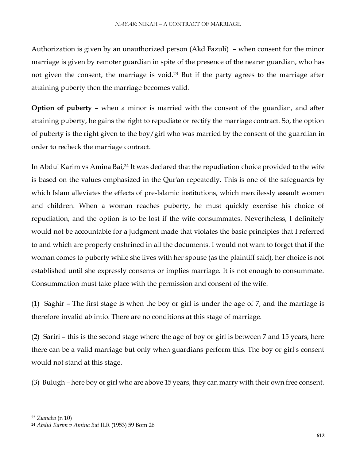Authorization is given by an unauthorized person (Akd Fazuli) – when consent for the minor marriage is given by remoter guardian in spite of the presence of the nearer guardian, who has not given the consent, the marriage is void.<sup>23</sup> But if the party agrees to the marriage after attaining puberty then the marriage becomes valid.

**Option of puberty –** when a minor is married with the consent of the guardian, and after attaining puberty, he gains the right to repudiate or rectify the marriage contract. So, the option of puberty is the right given to the boy/girl who was married by the consent of the guardian in order to recheck the marriage contract.

In Abdul Karim vs Amina Bai,<sup>24</sup> It was declared that the repudiation choice provided to the wife is based on the values emphasized in the Qur'an repeatedly. This is one of the safeguards by which Islam alleviates the effects of pre-Islamic institutions, which mercilessly assault women and children. When a woman reaches puberty, he must quickly exercise his choice of repudiation, and the option is to be lost if the wife consummates. Nevertheless, I definitely would not be accountable for a judgment made that violates the basic principles that I referred to and which are properly enshrined in all the documents. I would not want to forget that if the woman comes to puberty while she lives with her spouse (as the plaintiff said), her choice is not established until she expressly consents or implies marriage. It is not enough to consummate. Consummation must take place with the permission and consent of the wife.

(1) Saghir – The first stage is when the boy or girl is under the age of 7, and the marriage is therefore invalid ab intio. There are no conditions at this stage of marriage.

(2) Sariri – this is the second stage where the age of boy or girl is between 7 and 15 years, here there can be a valid marriage but only when guardians perform this. The boy or girl's consent would not stand at this stage.

(3) Bulugh – here boy or girl who are above 15 years, they can marry with their own free consent.

 $\overline{\phantom{a}}$ 

<sup>23</sup> *Zianaba* (n 10)

<sup>24</sup> *Abdul Karim v Amina Bai* ILR (1953) 59 Bom 26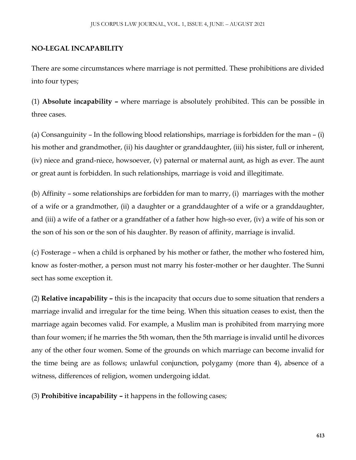### **NO-LEGAL INCAPABILITY**

There are some circumstances where marriage is not permitted. These prohibitions are divided into four types;

(1) **Absolute incapability –** where marriage is absolutely prohibited. This can be possible in three cases.

(a) Consanguinity – In the following blood relationships, marriage is forbidden for the man – (i) his mother and grandmother, (ii) his daughter or granddaughter, (iii) his sister, full or inherent, (iv) niece and grand-niece, howsoever, (v) paternal or maternal aunt, as high as ever. The aunt or great aunt is forbidden. In such relationships, marriage is void and illegitimate.

(b) Affinity – some relationships are forbidden for man to marry, (i) marriages with the mother of a wife or a grandmother, (ii) a daughter or a granddaughter of a wife or a granddaughter, and (iii) a wife of a father or a grandfather of a father how high-so ever, (iv) a wife of his son or the son of his son or the son of his daughter. By reason of affinity, marriage is invalid.

(c) Fosterage – when a child is orphaned by his mother or father, the mother who fostered him, know as foster-mother, a person must not marry his foster-mother or her daughter. The Sunni sect has some exception it.

(2) **Relative incapability –** this is the incapacity that occurs due to some situation that renders a marriage invalid and irregular for the time being. When this situation ceases to exist, then the marriage again becomes valid. For example, a Muslim man is prohibited from marrying more than four women; if he marries the 5th woman, then the 5th marriage is invalid until he divorces any of the other four women. Some of the grounds on which marriage can become invalid for the time being are as follows; unlawful conjunction, polygamy (more than 4), absence of a witness, differences of religion, women undergoing iddat.

(3) **Prohibitive incapability –** it happens in the following cases;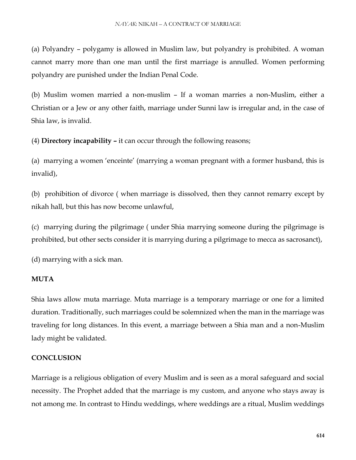(a) Polyandry – polygamy is allowed in Muslim law, but polyandry is prohibited. A woman cannot marry more than one man until the first marriage is annulled. Women performing polyandry are punished under the Indian Penal Code.

(b) Muslim women married a non-muslim – If a woman marries a non-Muslim, either a Christian or a Jew or any other faith, marriage under Sunni law is irregular and, in the case of Shia law, is invalid.

(4) **Directory incapability –** it can occur through the following reasons;

(a) marrying a women 'enceinte' (marrying a woman pregnant with a former husband, this is invalid),

(b) prohibition of divorce ( when marriage is dissolved, then they cannot remarry except by nikah hall, but this has now become unlawful,

(c) marrying during the pilgrimage ( under Shia marrying someone during the pilgrimage is prohibited, but other sects consider it is marrying during a pilgrimage to mecca as sacrosanct),

(d) marrying with a sick man.

#### **MUTA**

Shia laws allow muta marriage. Muta marriage is a temporary marriage or one for a limited duration. Traditionally, such marriages could be solemnized when the man in the marriage was traveling for long distances. In this event, a marriage between a Shia man and a non-Muslim lady might be validated.

# **CONCLUSION**

Marriage is a religious obligation of every Muslim and is seen as a moral safeguard and social necessity. The Prophet added that the marriage is my custom, and anyone who stays away is not among me. In contrast to Hindu weddings, where weddings are a ritual, Muslim weddings